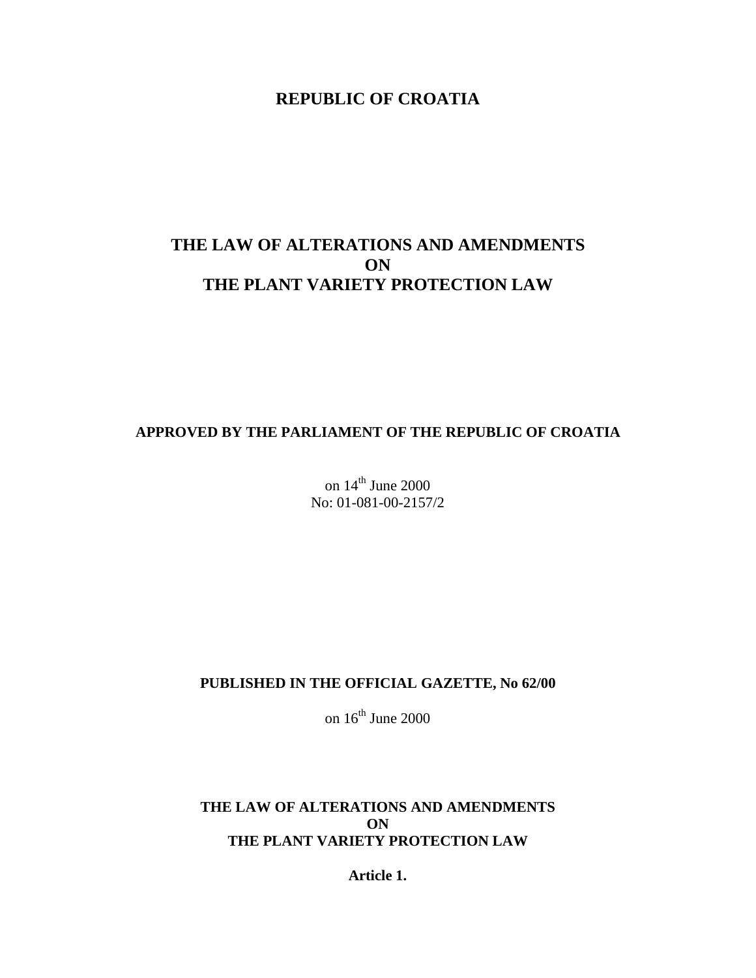# **REPUBLIC OF CROATIA**

# **THE LAW OF ALTERATIONS AND AMENDMENTS ON THE PLANT VARIETY PROTECTION LAW**

## **APPROVED BY THE PARLIAMENT OF THE REPUBLIC OF CROATIA**

on  $14<sup>th</sup>$  June 2000 No: 01-081-00-2157/2

## **PUBLISHED IN THE OFFICIAL GAZETTE, No 62/00**

on  $16^{th}$  June 2000

# **THE LAW OF ALTERATIONS AND AMENDMENTS ON THE PLANT VARIETY PROTECTION LAW**

**Article 1.**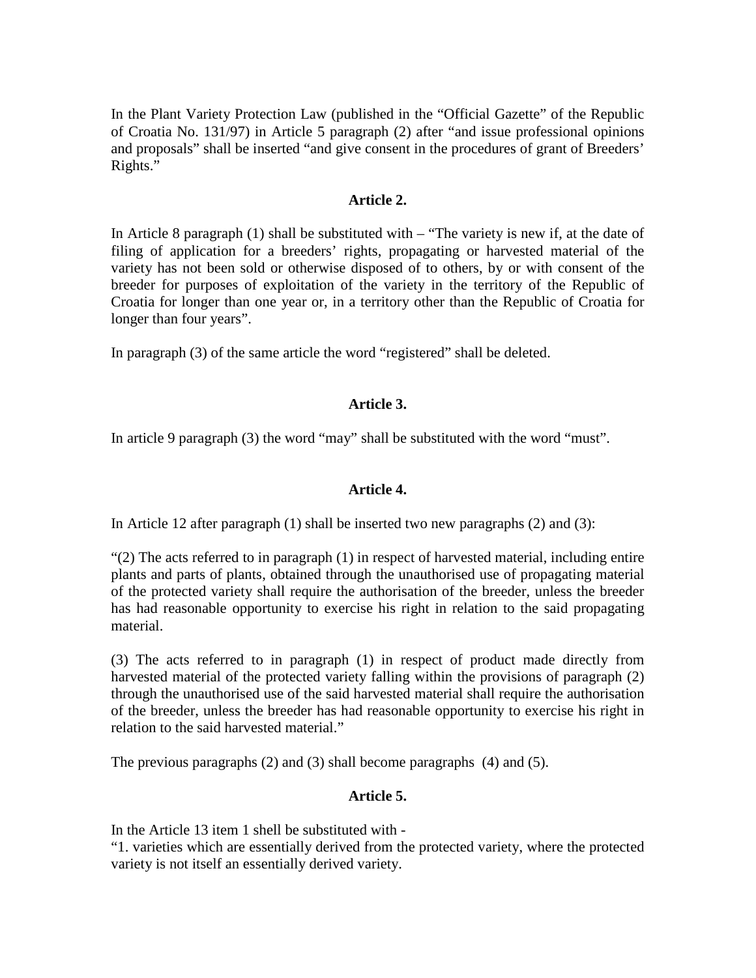In the Plant Variety Protection Law (published in the "Official Gazette" of the Republic of Croatia No. 131/97) in Article 5 paragraph (2) after "and issue professional opinions and proposals" shall be inserted "and give consent in the procedures of grant of Breeders' Rights."

#### **Article 2.**

In Article 8 paragraph (1) shall be substituted with – "The variety is new if, at the date of filing of application for a breeders' rights, propagating or harvested material of the variety has not been sold or otherwise disposed of to others, by or with consent of the breeder for purposes of exploitation of the variety in the territory of the Republic of Croatia for longer than one year or, in a territory other than the Republic of Croatia for longer than four years".

In paragraph (3) of the same article the word "registered" shall be deleted.

# **Article 3.**

In article 9 paragraph (3) the word "may" shall be substituted with the word "must".

## **Article 4.**

In Article 12 after paragraph (1) shall be inserted two new paragraphs (2) and (3):

"(2) The acts referred to in paragraph (1) in respect of harvested material, including entire plants and parts of plants, obtained through the unauthorised use of propagating material of the protected variety shall require the authorisation of the breeder, unless the breeder has had reasonable opportunity to exercise his right in relation to the said propagating material.

(3) The acts referred to in paragraph (1) in respect of product made directly from harvested material of the protected variety falling within the provisions of paragraph (2) through the unauthorised use of the said harvested material shall require the authorisation of the breeder, unless the breeder has had reasonable opportunity to exercise his right in relation to the said harvested material."

The previous paragraphs (2) and (3) shall become paragraphs (4) and (5).

## **Article 5.**

In the Article 13 item 1 shell be substituted with -

"1. varieties which are essentially derived from the protected variety, where the protected variety is not itself an essentially derived variety.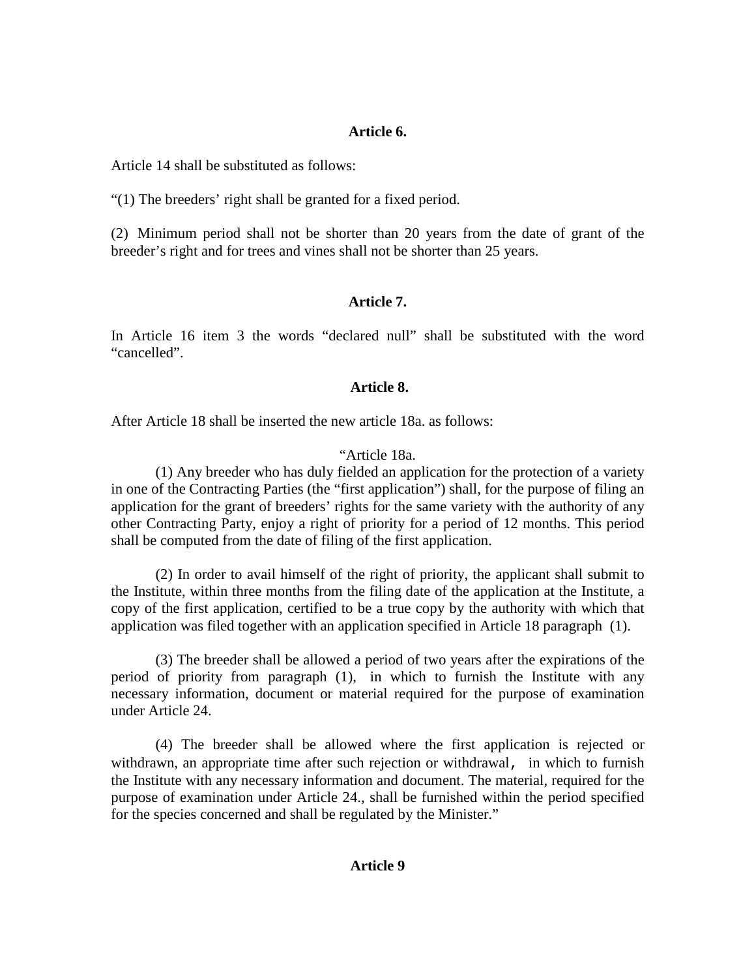#### **Article 6.**

Article 14 shall be substituted as follows:

"(1) The breeders' right shall be granted for a fixed period.

(2) Minimum period shall not be shorter than 20 years from the date of grant of the breeder's right and for trees and vines shall not be shorter than 25 years.

## **Article 7.**

In Article 16 item 3 the words "declared null" shall be substituted with the word "cancelled".

#### **Article 8.**

After Article 18 shall be inserted the new article 18a. as follows:

#### "Article 18a.

(1) Any breeder who has duly fielded an application for the protection of a variety in one of the Contracting Parties (the "first application") shall, for the purpose of filing an application for the grant of breeders' rights for the same variety with the authority of any other Contracting Party, enjoy a right of priority for a period of 12 months. This period shall be computed from the date of filing of the first application.

(2) In order to avail himself of the right of priority, the applicant shall submit to the Institute, within three months from the filing date of the application at the Institute, a copy of the first application, certified to be a true copy by the authority with which that application was filed together with an application specified in Article 18 paragraph (1).

(3) The breeder shall be allowed a period of two years after the expirations of the period of priority from paragraph (1), in which to furnish the Institute with any necessary information, document or material required for the purpose of examination under Article 24.

(4) The breeder shall be allowed where the first application is rejected or withdrawn, an appropriate time after such rejection or withdrawal, in which to furnish the Institute with any necessary information and document. The material, required for the purpose of examination under Article 24., shall be furnished within the period specified for the species concerned and shall be regulated by the Minister."

# **Article 9**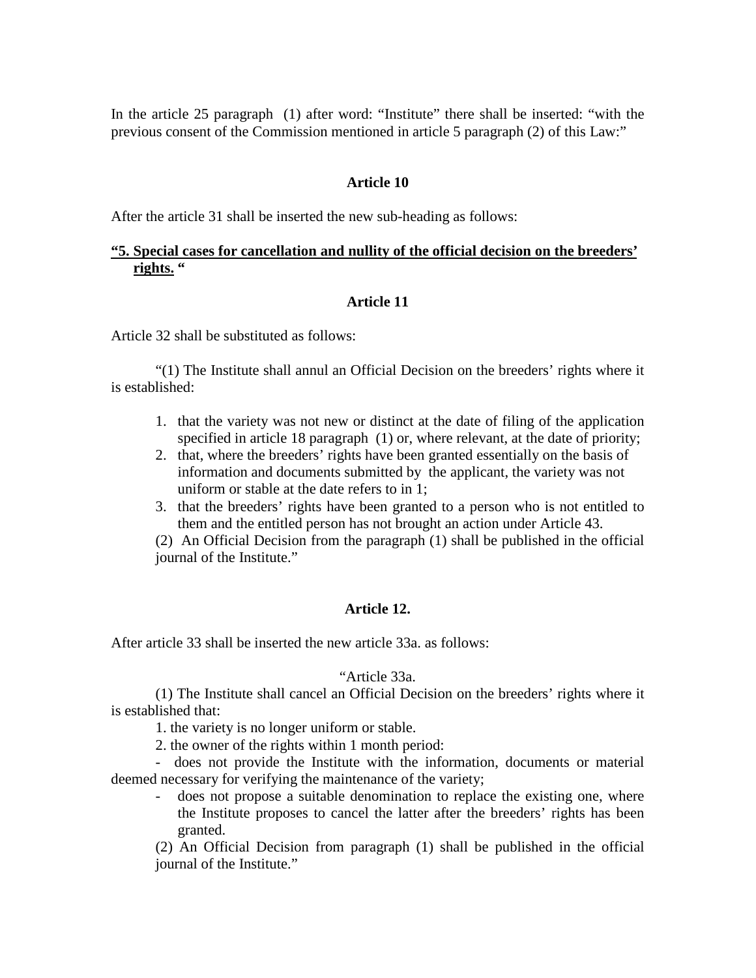In the article 25 paragraph (1) after word: "Institute" there shall be inserted: "with the previous consent of the Commission mentioned in article 5 paragraph (2) of this Law:"

#### **Article 10**

After the article 31 shall be inserted the new sub-heading as follows:

# **"5. Special cases for cancellation and nullity of the official decision on the breeders' rights. "**

#### **Article 11**

Article 32 shall be substituted as follows:

"(1) The Institute shall annul an Official Decision on the breeders' rights where it is established:

- 1. that the variety was not new or distinct at the date of filing of the application specified in article 18 paragraph (1) or, where relevant, at the date of priority;
- 2. that, where the breeders' rights have been granted essentially on the basis of information and documents submitted by the applicant, the variety was not uniform or stable at the date refers to in 1;
- 3. that the breeders' rights have been granted to a person who is not entitled to them and the entitled person has not brought an action under Article 43.

(2) An Official Decision from the paragraph (1) shall be published in the official journal of the Institute."

#### **Article 12.**

After article 33 shall be inserted the new article 33a. as follows:

#### "Article 33a.

(1) The Institute shall cancel an Official Decision on the breeders' rights where it is established that:

1. the variety is no longer uniform or stable.

2. the owner of the rights within 1 month period:

- does not provide the Institute with the information, documents or material deemed necessary for verifying the maintenance of the variety;

does not propose a suitable denomination to replace the existing one, where the Institute proposes to cancel the latter after the breeders' rights has been granted.

(2) An Official Decision from paragraph (1) shall be published in the official journal of the Institute."